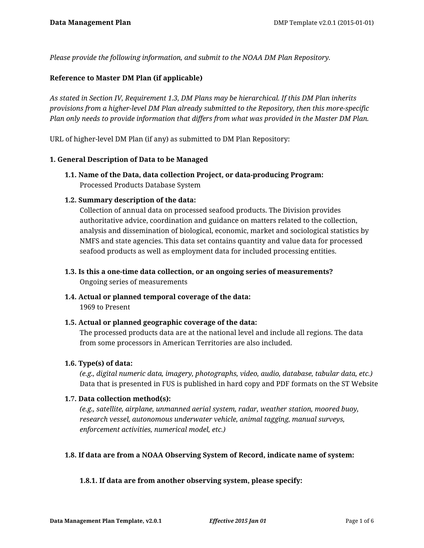*Please provide the following information, and submit to the NOAA DM Plan Repository.*

#### **Reference to Master DM Plan (if applicable)**

*As stated in Section IV, Requirement 1.3, DM Plans may be hierarchical. If this DM Plan inherits provisions from a higher-level DM Plan already submitted to the Repository, then this more-specific Plan only needs to provide information that differs from what was provided in the Master DM Plan.*

URL of higher-level DM Plan (if any) as submitted to DM Plan Repository:

#### **1. General Description of Data to be Managed**

**1.1. Name of the Data, data collection Project, or data-producing Program:** Processed Products Database System

#### **1.2. Summary description of the data:**

Collection of annual data on processed seafood products. The Division provides authoritative advice, coordination and guidance on matters related to the collection, analysis and dissemination of biological, economic, market and sociological statistics by NMFS and state agencies. This data set contains quantity and value data for processed seafood products as well as employment data for included processing entities.

- **1.3. Is this a one-time data collection, or an ongoing series of measurements?** Ongoing series of measurements
- **1.4. Actual or planned temporal coverage of the data:**

1969 to Present

**1.5. Actual or planned geographic coverage of the data:**

The processed products data are at the national level and include all regions. The data from some processors in American Territories are also included.

#### **1.6. Type(s) of data:**

*(e.g., digital numeric data, imagery, photographs, video, audio, database, tabular data, etc.)* Data that is presented in FUS is published in hard copy and PDF formats on the ST Website

#### **1.7. Data collection method(s):**

*(e.g., satellite, airplane, unmanned aerial system, radar, weather station, moored buoy, research vessel, autonomous underwater vehicle, animal tagging, manual surveys, enforcement activities, numerical model, etc.)*

## **1.8. If data are from a NOAA Observing System of Record, indicate name of system:**

#### **1.8.1. If data are from another observing system, please specify:**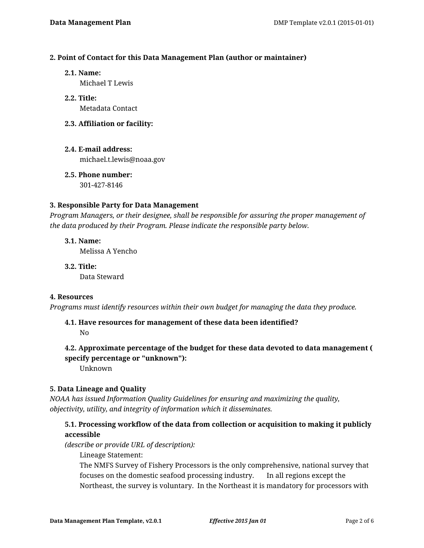#### **2. Point of Contact for this Data Management Plan (author or maintainer)**

**2.1. Name:**

Michael T Lewis

- **2.2. Title:** Metadata Contact
- **2.3. Affiliation or facility:**
- **2.4. E-mail address:** michael.t.lewis@noaa.gov
- **2.5. Phone number:** 301-427-8146

#### **3. Responsible Party for Data Management**

*Program Managers, or their designee, shall be responsible for assuring the proper management of the data produced by their Program. Please indicate the responsible party below.*

**3.1. Name:** Melissa A Yencho

**3.2. Title:** Data Steward

#### **4. Resources**

*Programs must identify resources within their own budget for managing the data they produce.*

# **4.1. Have resources for management of these data been identified?**

No

# **4.2. Approximate percentage of the budget for these data devoted to data management ( specify percentage or "unknown"):**

Unknown

## **5. Data Lineage and Quality**

*NOAA has issued Information Quality Guidelines for ensuring and maximizing the quality, objectivity, utility, and integrity of information which it disseminates.*

## **5.1. Processing workflow of the data from collection or acquisition to making it publicly accessible**

*(describe or provide URL of description):*

Lineage Statement:

The NMFS Survey of Fishery Processors is the only comprehensive, national survey that focuses on the domestic seafood processing industry. In all regions except the Northeast, the survey is voluntary. In the Northeast it is mandatory for processors with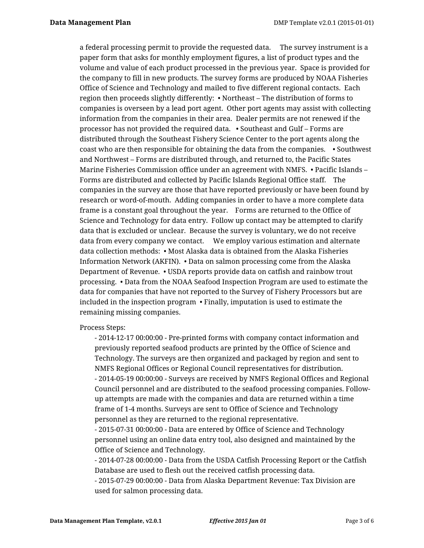a federal processing permit to provide the requested data. The survey instrument is a paper form that asks for monthly employment figures, a list of product types and the volume and value of each product processed in the previous year. Space is provided for the company to fill in new products. The survey forms are produced by NOAA Fisheries Office of Science and Technology and mailed to five different regional contacts. Each region then proceeds slightly differently: • Northeast – The distribution of forms to companies is overseen by a lead port agent. Other port agents may assist with collecting information from the companies in their area. Dealer permits are not renewed if the processor has not provided the required data. • Southeast and Gulf – Forms are distributed through the Southeast Fishery Science Center to the port agents along the coast who are then responsible for obtaining the data from the companies. • Southwest and Northwest – Forms are distributed through, and returned to, the Pacific States Marine Fisheries Commission office under an agreement with NMFS. • Pacific Islands – Forms are distributed and collected by Pacific Islands Regional Office staff. The companies in the survey are those that have reported previously or have been found by research or word-of-mouth. Adding companies in order to have a more complete data frame is a constant goal throughout the year. Forms are returned to the Office of Science and Technology for data entry. Follow up contact may be attempted to clarify data that is excluded or unclear. Because the survey is voluntary, we do not receive data from every company we contact. We employ various estimation and alternate data collection methods: • Most Alaska data is obtained from the Alaska Fisheries Information Network (AKFIN). • Data on salmon processing come from the Alaska Department of Revenue. • USDA reports provide data on catfish and rainbow trout processing. • Data from the NOAA Seafood Inspection Program are used to estimate the data for companies that have not reported to the Survey of Fishery Processors but are included in the inspection program • Finally, imputation is used to estimate the remaining missing companies.

Process Steps:

- 2014-12-17 00:00:00 - Pre-printed forms with company contact information and previously reported seafood products are printed by the Office of Science and Technology. The surveys are then organized and packaged by region and sent to NMFS Regional Offices or Regional Council representatives for distribution. - 2014-05-19 00:00:00 - Surveys are received by NMFS Regional Offices and Regional Council personnel and are distributed to the seafood processing companies. Followup attempts are made with the companies and data are returned within a time frame of 1-4 months. Surveys are sent to Office of Science and Technology personnel as they are returned to the regional representative.

- 2015-07-31 00:00:00 - Data are entered by Office of Science and Technology personnel using an online data entry tool, also designed and maintained by the Office of Science and Technology.

- 2014-07-28 00:00:00 - Data from the USDA Catfish Processing Report or the Catfish Database are used to flesh out the received catfish processing data.

- 2015-07-29 00:00:00 - Data from Alaska Department Revenue: Tax Division are used for salmon processing data.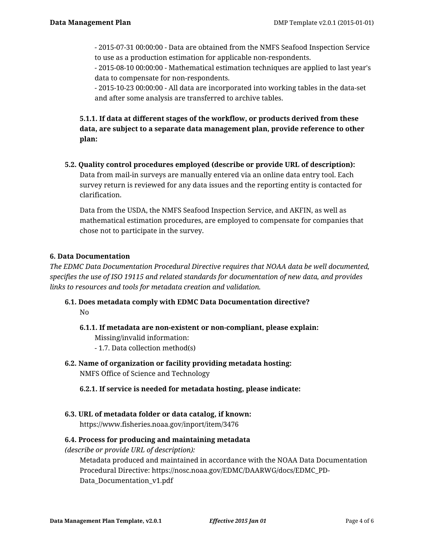- 2015-07-31 00:00:00 - Data are obtained from the NMFS Seafood Inspection Service to use as a production estimation for applicable non-respondents.

- 2015-08-10 00:00:00 - Mathematical estimation techniques are applied to last year's data to compensate for non-respondents.

- 2015-10-23 00:00:00 - All data are incorporated into working tables in the data-set and after some analysis are transferred to archive tables.

**5.1.1. If data at different stages of the workflow, or products derived from these data, are subject to a separate data management plan, provide reference to other plan:**

**5.2. Quality control procedures employed (describe or provide URL of description):** Data from mail-in surveys are manually entered via an online data entry tool. Each survey return is reviewed for any data issues and the reporting entity is contacted for clarification.

Data from the USDA, the NMFS Seafood Inspection Service, and AKFIN, as well as mathematical estimation procedures, are employed to compensate for companies that chose not to participate in the survey.

## **6. Data Documentation**

*The EDMC Data Documentation Procedural Directive requires that NOAA data be well documented, specifies the use of ISO 19115 and related standards for documentation of new data, and provides links to resources and tools for metadata creation and validation.*

# **6.1. Does metadata comply with EDMC Data Documentation directive?** No

# **6.1.1. If metadata are non-existent or non-compliant, please explain:**

Missing/invalid information:

- 1.7. Data collection method(s)
- **6.2. Name of organization or facility providing metadata hosting:** NMFS Office of Science and Technology
	- **6.2.1. If service is needed for metadata hosting, please indicate:**
- **6.3. URL of metadata folder or data catalog, if known:**

https://www.fisheries.noaa.gov/inport/item/3476

## **6.4. Process for producing and maintaining metadata**

*(describe or provide URL of description):*

Metadata produced and maintained in accordance with the NOAA Data Documentation Procedural Directive: https://nosc.noaa.gov/EDMC/DAARWG/docs/EDMC\_PD-Data Documentation v1.pdf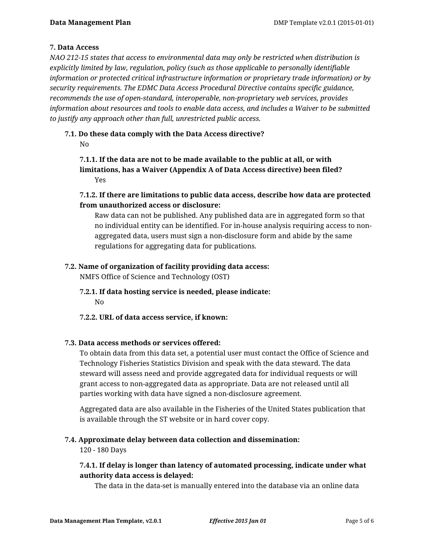## **7. Data Access**

*NAO 212-15 states that access to environmental data may only be restricted when distribution is explicitly limited by law, regulation, policy (such as those applicable to personally identifiable information or protected critical infrastructure information or proprietary trade information) or by security requirements. The EDMC Data Access Procedural Directive contains specific guidance, recommends the use of open-standard, interoperable, non-proprietary web services, provides information about resources and tools to enable data access, and includes a Waiver to be submitted to justify any approach other than full, unrestricted public access.*

# **7.1. Do these data comply with the Data Access directive?**

No

## **7.1.1. If the data are not to be made available to the public at all, or with limitations, has a Waiver (Appendix A of Data Access directive) been filed?** Yes

# **7.1.2. If there are limitations to public data access, describe how data are protected from unauthorized access or disclosure:**

Raw data can not be published. Any published data are in aggregated form so that no individual entity can be identified. For in-house analysis requiring access to nonaggregated data, users must sign a non-disclosure form and abide by the same regulations for aggregating data for publications.

# **7.2. Name of organization of facility providing data access:**

NMFS Office of Science and Technology (OST)

- **7.2.1. If data hosting service is needed, please indicate:** No
- **7.2.2. URL of data access service, if known:**

# **7.3. Data access methods or services offered:**

To obtain data from this data set, a potential user must contact the Office of Science and Technology Fisheries Statistics Division and speak with the data steward. The data steward will assess need and provide aggregated data for individual requests or will grant access to non-aggregated data as appropriate. Data are not released until all parties working with data have signed a non-disclosure agreement.

Aggregated data are also available in the Fisheries of the United States publication that is available through the ST website or in hard cover copy.

# **7.4. Approximate delay between data collection and dissemination:**

120 - 180 Days

# **7.4.1. If delay is longer than latency of automated processing, indicate under what authority data access is delayed:**

The data in the data-set is manually entered into the database via an online data